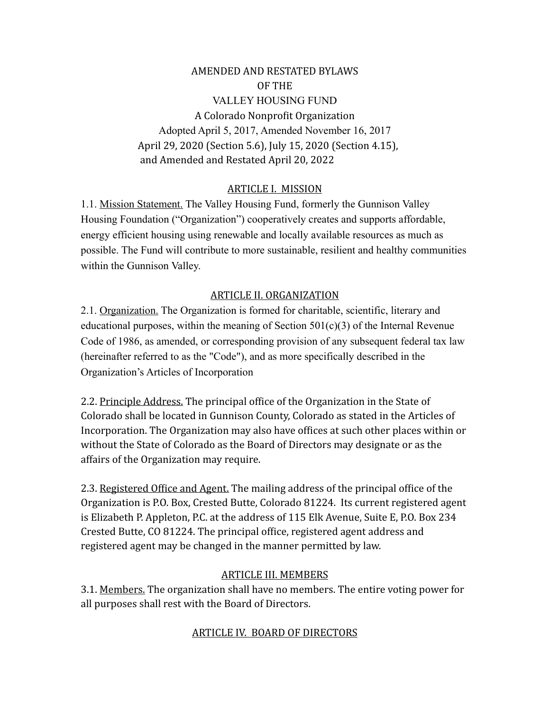AMENDED AND RESTATED BYLAWS OF THE VALLEY HOUSING FUND A Colorado Nonprofit Organization Adopted April 5, 2017, Amended November 16, 2017 April 29, 2020 (Section 5.6), July 15, 2020 (Section 4.15), and Amended and Restated April 20, 2022

### ARTICLE I. MISSION

1.1. Mission Statement. The Valley Housing Fund, formerly the Gunnison Valley Housing Foundation ("Organization") cooperatively creates and supports affordable, energy efficient housing using renewable and locally available resources as much as possible. The Fund will contribute to more sustainable, resilient and healthy communities within the Gunnison Valley.

#### ARTICLE II. ORGANIZATION

2.1. Organization. The Organization is formed for charitable, scientific, literary and educational purposes, within the meaning of Section  $501(c)(3)$  of the Internal Revenue Code of 1986, as amended, or corresponding provision of any subsequent federal tax law (hereinafter referred to as the "Code"), and as more specifically described in the Organization's Articles of Incorporation

2.2. Principle Address. The principal office of the Organization in the State of Colorado shall be located in Gunnison County, Colorado as stated in the Articles of Incorporation. The Organization may also have offices at such other places within or without the State of Colorado as the Board of Directors may designate or as the affairs of the Organization may require.

2.3. Registered Office and Agent. The mailing address of the principal office of the Organization is P.O. Box, Crested Butte, Colorado 81224. Its current registered agent is Elizabeth P. Appleton, P.C. at the address of  $115$  Elk Avenue, Suite E, P.O. Box 234 Crested Butte, CO 81224. The principal office, registered agent address and registered agent may be changed in the manner permitted by law.

## ARTICLE III. MEMBERS

3.1. Members. The organization shall have no members. The entire voting power for all purposes shall rest with the Board of Directors.

## ARTICLE IV. BOARD OF DIRECTORS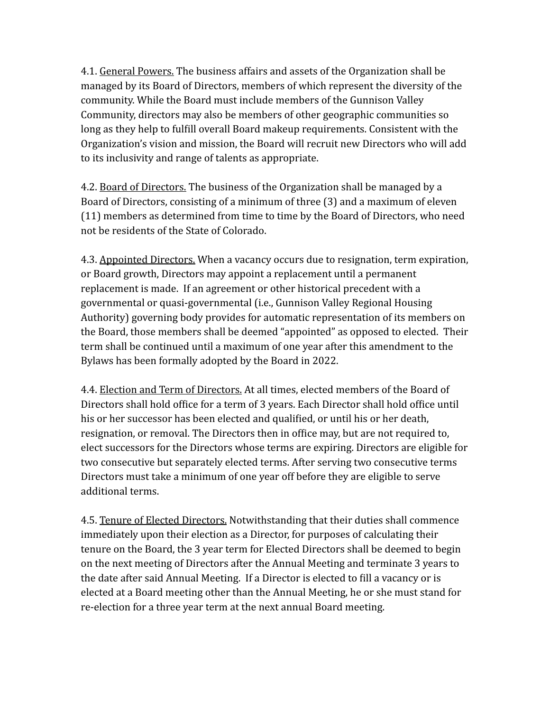4.1. General Powers. The business affairs and assets of the Organization shall be managed by its Board of Directors, members of which represent the diversity of the community. While the Board must include members of the Gunnison Valley Community, directors may also be members of other geographic communities so long as they help to fulfill overall Board makeup requirements. Consistent with the Organization's vision and mission, the Board will recruit new Directors who will add to its inclusivity and range of talents as appropriate.

4.2. Board of Directors. The business of the Organization shall be managed by a Board of Directors, consisting of a minimum of three (3) and a maximum of eleven (11) members as determined from time to time by the Board of Directors, who need not be residents of the State of Colorado.

4.3. Appointed Directors. When a vacancy occurs due to resignation, term expiration, or Board growth, Directors may appoint a replacement until a permanent replacement is made. If an agreement or other historical precedent with a governmental or quasi-governmental (i.e., Gunnison Valley Regional Housing Authority) governing body provides for automatic representation of its members on the Board, those members shall be deemed "appointed" as opposed to elected. Their term shall be continued until a maximum of one year after this amendment to the Bylaws has been formally adopted by the Board in 2022.

4.4. Election and Term of Directors. At all times, elected members of the Board of Directors shall hold office for a term of 3 years. Each Director shall hold office until his or her successor has been elected and qualified, or until his or her death, resignation, or removal. The Directors then in office may, but are not required to, elect successors for the Directors whose terms are expiring. Directors are eligible for two consecutive but separately elected terms. After serving two consecutive terms Directors must take a minimum of one year off before they are eligible to serve additional terms.

4.5. Tenure of Elected Directors. Notwithstanding that their duties shall commence immediately upon their election as a Director, for purposes of calculating their tenure on the Board, the 3 year term for Elected Directors shall be deemed to begin on the next meeting of Directors after the Annual Meeting and terminate 3 years to the date after said Annual Meeting. If a Director is elected to fill a vacancy or is elected at a Board meeting other than the Annual Meeting, he or she must stand for re-election for a three year term at the next annual Board meeting.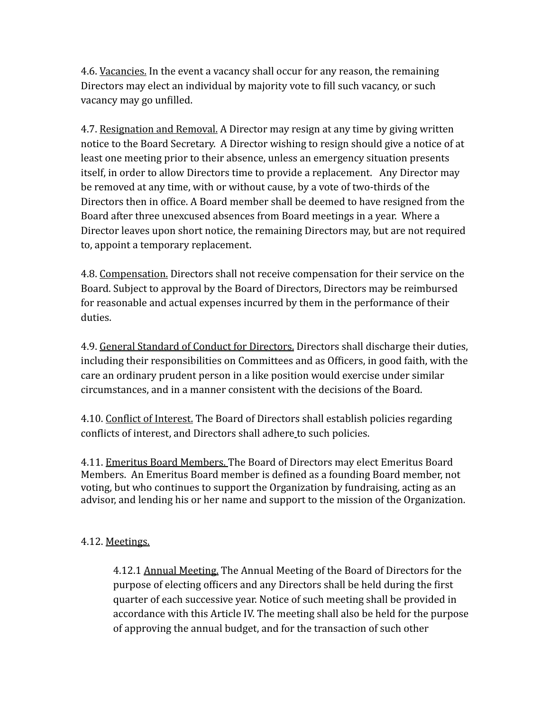4.6. Vacancies. In the event a vacancy shall occur for any reason, the remaining Directors may elect an individual by majority vote to fill such vacancy, or such vacancy may go unfilled.

4.7. Resignation and Removal. A Director may resign at any time by giving written notice to the Board Secretary. A Director wishing to resign should give a notice of at least one meeting prior to their absence, unless an emergency situation presents itself, in order to allow Directors time to provide a replacement. Any Director may be removed at any time, with or without cause, by a vote of two-thirds of the Directors then in office. A Board member shall be deemed to have resigned from the Board after three unexcused absences from Board meetings in a year. Where a Director leaves upon short notice, the remaining Directors may, but are not required to, appoint a temporary replacement.

4.8. Compensation. Directors shall not receive compensation for their service on the Board. Subject to approval by the Board of Directors, Directors may be reimbursed for reasonable and actual expenses incurred by them in the performance of their duties.

4.9. General Standard of Conduct for Directors. Directors shall discharge their duties, including their responsibilities on Committees and as Officers, in good faith, with the care an ordinary prudent person in a like position would exercise under similar circumstances, and in a manner consistent with the decisions of the Board.

4.10. Conflict of Interest. The Board of Directors shall establish policies regarding conflicts of interest, and Directors shall adhere to such policies.

4.11. Emeritus Board Members. The Board of Directors may elect Emeritus Board Members. An Emeritus Board member is defined as a founding Board member, not voting, but who continues to support the Organization by fundraising, acting as an advisor, and lending his or her name and support to the mission of the Organization.

## 4.12. Meetings.

4.12.1 Annual Meeting. The Annual Meeting of the Board of Directors for the purpose of electing officers and any Directors shall be held during the first quarter of each successive year. Notice of such meeting shall be provided in accordance with this Article IV. The meeting shall also be held for the purpose of approving the annual budget, and for the transaction of such other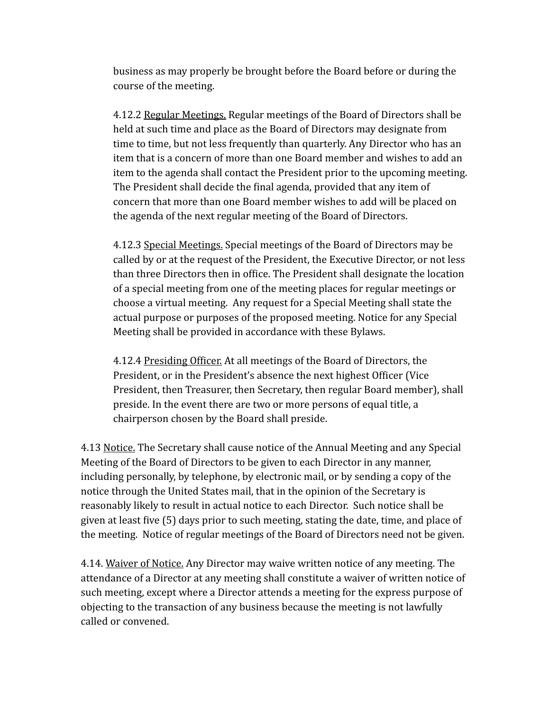business as may properly be brought before the Board before or during the course of the meeting.

4.12.2 Regular Meetings. Regular meetings of the Board of Directors shall be held at such time and place as the Board of Directors may designate from time to time, but not less frequently than quarterly. Any Director who has an item that is a concern of more than one Board member and wishes to add an item to the agenda shall contact the President prior to the upcoming meeting. The President shall decide the final agenda, provided that any item of concern that more than one Board member wishes to add will be placed on the agenda of the next regular meeting of the Board of Directors.

4.12.3 Special Meetings. Special meetings of the Board of Directors may be called by or at the request of the President, the Executive Director, or not less than three Directors then in office. The President shall designate the location of a special meeting from one of the meeting places for regular meetings or choose a virtual meeting. Any request for a Special Meeting shall state the actual purpose or purposes of the proposed meeting. Notice for any Special Meeting shall be provided in accordance with these Bylaws.

4.12.4 Presiding Officer. At all meetings of the Board of Directors, the President, or in the President's absence the next highest Officer (Vice President, then Treasurer, then Secretary, then regular Board member), shall preside. In the event there are two or more persons of equal title, a chairperson chosen by the Board shall preside.

4.13 Notice. The Secretary shall cause notice of the Annual Meeting and any Special Meeting of the Board of Directors to be given to each Director in any manner, including personally, by telephone, by electronic mail, or by sending a copy of the notice through the United States mail, that in the opinion of the Secretary is reasonably likely to result in actual notice to each Director. Such notice shall be given at least five (5) days prior to such meeting, stating the date, time, and place of the meeting. Notice of regular meetings of the Board of Directors need not be given.

4.14. Waiver of Notice. Any Director may waive written notice of any meeting. The attendance of a Director at any meeting shall constitute a waiver of written notice of such meeting, except where a Director attends a meeting for the express purpose of objecting to the transaction of any business because the meeting is not lawfully called or convened.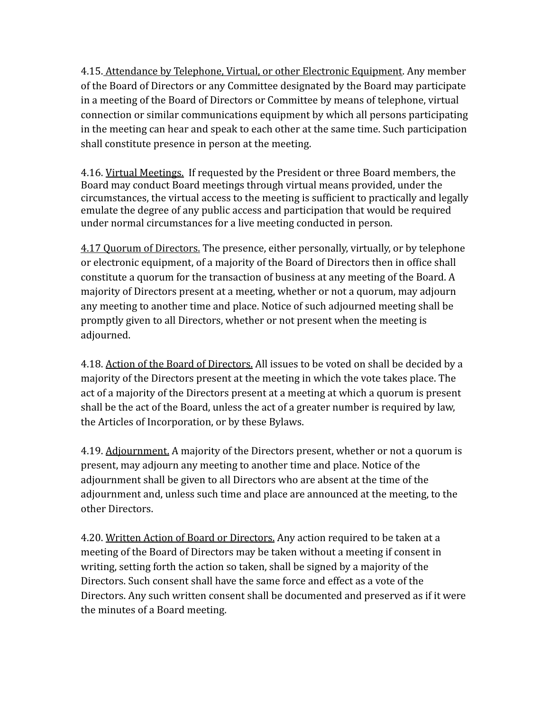4.15. Attendance by Telephone, Virtual, or other Electronic Equipment. Any member of the Board of Directors or any Committee designated by the Board may participate in a meeting of the Board of Directors or Committee by means of telephone, virtual connection or similar communications equipment by which all persons participating in the meeting can hear and speak to each other at the same time. Such participation shall constitute presence in person at the meeting.

4.16. Virtual Meetings. If requested by the President or three Board members, the Board may conduct Board meetings through virtual means provided, under the circumstances, the virtual access to the meeting is sufficient to practically and legally emulate the degree of any public access and participation that would be required under normal circumstances for a live meeting conducted in person.

4.17 Ouorum of Directors. The presence, either personally, virtually, or by telephone or electronic equipment, of a majority of the Board of Directors then in office shall constitute a quorum for the transaction of business at any meeting of the Board. A majority of Directors present at a meeting, whether or not a quorum, may adjourn any meeting to another time and place. Notice of such adjourned meeting shall be promptly given to all Directors, whether or not present when the meeting is adjourned.

4.18. Action of the Board of Directors. All issues to be voted on shall be decided by a majority of the Directors present at the meeting in which the vote takes place. The act of a majority of the Directors present at a meeting at which a quorum is present shall be the act of the Board, unless the act of a greater number is required by law, the Articles of Incorporation, or by these Bylaws.

4.19. Adjournment. A majority of the Directors present, whether or not a quorum is present, may adjourn any meeting to another time and place. Notice of the adjournment shall be given to all Directors who are absent at the time of the adjournment and, unless such time and place are announced at the meeting, to the other Directors.

4.20. Written Action of Board or Directors. Any action required to be taken at a meeting of the Board of Directors may be taken without a meeting if consent in writing, setting forth the action so taken, shall be signed by a majority of the Directors. Such consent shall have the same force and effect as a vote of the Directors. Any such written consent shall be documented and preserved as if it were the minutes of a Board meeting.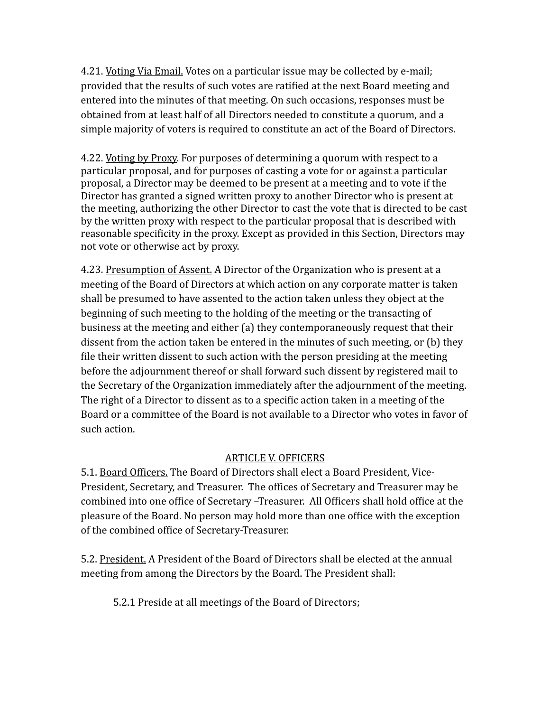4.21. Voting Via Email. Votes on a particular issue may be collected by e-mail; provided that the results of such votes are ratified at the next Board meeting and entered into the minutes of that meeting. On such occasions, responses must be obtained from at least half of all Directors needed to constitute a quorum, and a simple majority of voters is required to constitute an act of the Board of Directors.

4.22. Voting by Proxy. For purposes of determining a quorum with respect to a particular proposal, and for purposes of casting a vote for or against a particular proposal, a Director may be deemed to be present at a meeting and to vote if the Director has granted a signed written proxy to another Director who is present at the meeting, authorizing the other Director to cast the vote that is directed to be cast by the written proxy with respect to the particular proposal that is described with reasonable specificity in the proxy. Except as provided in this Section, Directors may not vote or otherwise act by proxy.

4.23. Presumption of Assent. A Director of the Organization who is present at a meeting of the Board of Directors at which action on any corporate matter is taken shall be presumed to have assented to the action taken unless they object at the beginning of such meeting to the holding of the meeting or the transacting of business at the meeting and either (a) they contemporaneously request that their dissent from the action taken be entered in the minutes of such meeting, or (b) they file their written dissent to such action with the person presiding at the meeting before the adjournment thereof or shall forward such dissent by registered mail to the Secretary of the Organization immediately after the adjournment of the meeting. The right of a Director to dissent as to a specific action taken in a meeting of the Board or a committee of the Board is not available to a Director who votes in favor of such action.

## **ARTICLE V. OFFICERS**

5.1. Board Officers. The Board of Directors shall elect a Board President, Vice-President, Secretary, and Treasurer. The offices of Secretary and Treasurer may be combined into one office of Secretary -Treasurer. All Officers shall hold office at the pleasure of the Board. No person may hold more than one office with the exception of the combined office of Secretary-Treasurer.

5.2. President. A President of the Board of Directors shall be elected at the annual meeting from among the Directors by the Board. The President shall:

5.2.1 Preside at all meetings of the Board of Directors;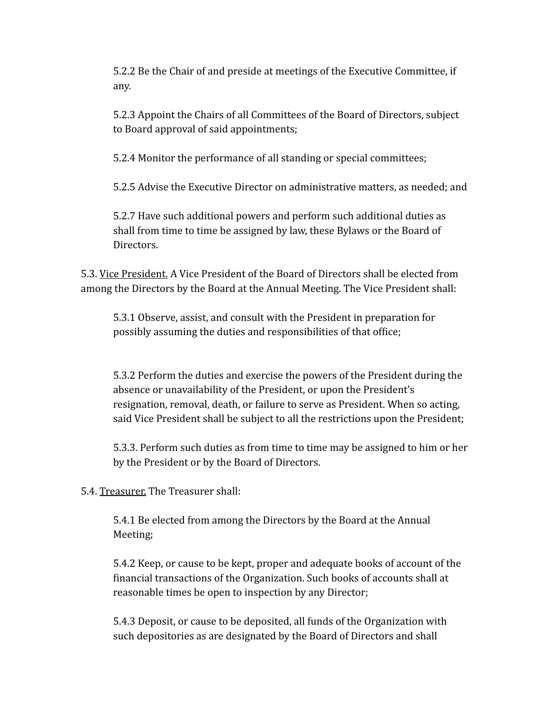5.2.2 Be the Chair of and preside at meetings of the Executive Committee, if any.

5.2.3 Appoint the Chairs of all Committees of the Board of Directors, subject to Board approval of said appointments;

5.2.4 Monitor the performance of all standing or special committees;

5.2.5 Advise the Executive Director on administrative matters, as needed; and

5.2.7 Have such additional powers and perform such additional duties as shall from time to time be assigned by law, these Bylaws or the Board of Directors.

5.3. Vice President. A Vice President of the Board of Directors shall be elected from among the Directors by the Board at the Annual Meeting. The Vice President shall:

5.3.1 Observe, assist, and consult with the President in preparation for possibly assuming the duties and responsibilities of that office;

5.3.2 Perform the duties and exercise the powers of the President during the absence or unavailability of the President, or upon the President's resignation, removal, death, or failure to serve as President. When so acting, said Vice President shall be subject to all the restrictions upon the President;

5.3.3. Perform such duties as from time to time may be assigned to him or her by the President or by the Board of Directors.

5.4. Treasurer. The Treasurer shall:

5.4.1 Be elected from among the Directors by the Board at the Annual Meeting;

5.4.2 Keep, or cause to be kept, proper and adequate books of account of the financial transactions of the Organization. Such books of accounts shall at reasonable times be open to inspection by any Director;

5.4.3 Deposit, or cause to be deposited, all funds of the Organization with such depositories as are designated by the Board of Directors and shall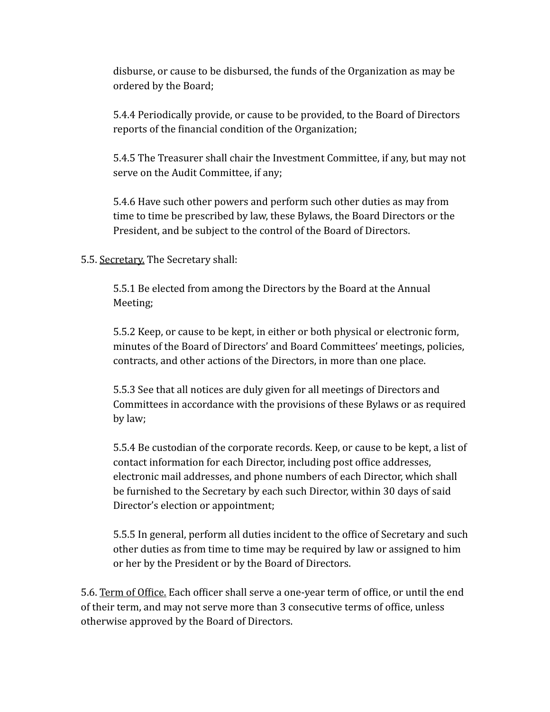disburse, or cause to be disbursed, the funds of the Organization as may be ordered by the Board;

5.4.4 Periodically provide, or cause to be provided, to the Board of Directors reports of the financial condition of the Organization;

5.4.5 The Treasurer shall chair the Investment Committee, if any, but may not serve on the Audit Committee, if any;

5.4.6 Have such other powers and perform such other duties as may from time to time be prescribed by law, these Bylaws, the Board Directors or the President, and be subject to the control of the Board of Directors.

### 5.5. Secretary. The Secretary shall:

5.5.1 Be elected from among the Directors by the Board at the Annual Meeting;

5.5.2 Keep, or cause to be kept, in either or both physical or electronic form, minutes of the Board of Directors' and Board Committees' meetings, policies, contracts, and other actions of the Directors, in more than one place.

5.5.3 See that all notices are duly given for all meetings of Directors and Committees in accordance with the provisions of these Bylaws or as required by law;

5.5.4 Be custodian of the corporate records. Keep, or cause to be kept, a list of contact information for each Director, including post office addresses, electronic mail addresses, and phone numbers of each Director, which shall be furnished to the Secretary by each such Director, within 30 days of said Director's election or appointment;

5.5.5 In general, perform all duties incident to the office of Secretary and such other duties as from time to time may be required by law or assigned to him or her by the President or by the Board of Directors.

5.6. Term of Office. Each officer shall serve a one-year term of office, or until the end of their term, and may not serve more than 3 consecutive terms of office, unless otherwise approved by the Board of Directors.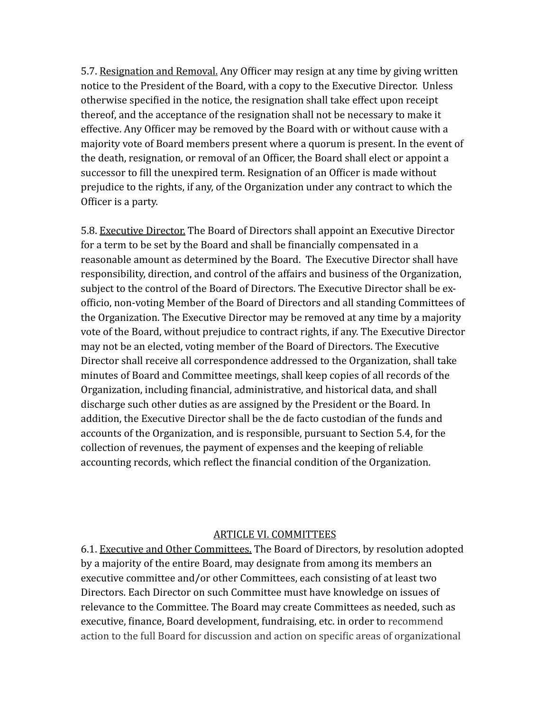5.7. Resignation and Removal. Any Officer may resign at any time by giving written notice to the President of the Board, with a copy to the Executive Director. Unless otherwise specified in the notice, the resignation shall take effect upon receipt thereof, and the acceptance of the resignation shall not be necessary to make it effective. Any Officer may be removed by the Board with or without cause with a majority vote of Board members present where a quorum is present. In the event of the death, resignation, or removal of an Officer, the Board shall elect or appoint a successor to fill the unexpired term. Resignation of an Officer is made without prejudice to the rights, if any, of the Organization under any contract to which the Officer is a party.

5.8. Executive Director. The Board of Directors shall appoint an Executive Director for a term to be set by the Board and shall be financially compensated in a reasonable amount as determined by the Board. The Executive Director shall have responsibility, direction, and control of the affairs and business of the Organization, subject to the control of the Board of Directors. The Executive Director shall be exofficio, non-voting Member of the Board of Directors and all standing Committees of the Organization. The Executive Director may be removed at any time by a majority vote of the Board, without prejudice to contract rights, if any. The Executive Director may not be an elected, voting member of the Board of Directors. The Executive Director shall receive all correspondence addressed to the Organization, shall take minutes of Board and Committee meetings, shall keep copies of all records of the Organization, including financial, administrative, and historical data, and shall discharge such other duties as are assigned by the President or the Board. In addition, the Executive Director shall be the de facto custodian of the funds and accounts of the Organization, and is responsible, pursuant to Section 5.4, for the collection of revenues, the payment of expenses and the keeping of reliable accounting records, which reflect the financial condition of the Organization.

#### ARTICLE VI. COMMITTEES

6.1. Executive and Other Committees. The Board of Directors, by resolution adopted by a majority of the entire Board, may designate from among its members an executive committee and/or other Committees, each consisting of at least two Directors. Each Director on such Committee must have knowledge on issues of relevance to the Committee. The Board may create Committees as needed, such as executive, finance, Board development, fundraising, etc. in order to recommend action to the full Board for discussion and action on specific areas of organizational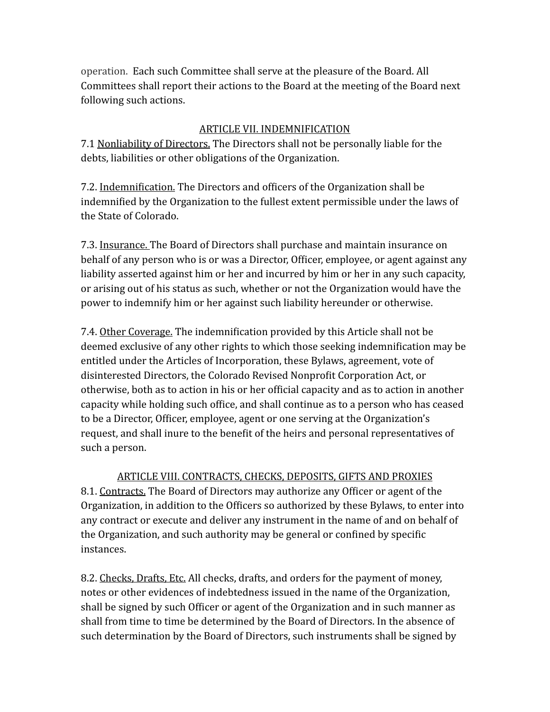operation. Each such Committee shall serve at the pleasure of the Board. All Committees shall report their actions to the Board at the meeting of the Board next following such actions.

### ARTICLE VII. INDEMNIFICATION

7.1 Nonliability of Directors. The Directors shall not be personally liable for the debts, liabilities or other obligations of the Organization.

7.2. Indemnification. The Directors and officers of the Organization shall be indemnified by the Organization to the fullest extent permissible under the laws of the State of Colorado.

7.3. Insurance. The Board of Directors shall purchase and maintain insurance on behalf of any person who is or was a Director, Officer, employee, or agent against any liability asserted against him or her and incurred by him or her in any such capacity, or arising out of his status as such, whether or not the Organization would have the power to indemnify him or her against such liability hereunder or otherwise.

7.4. Other Coverage. The indemnification provided by this Article shall not be deemed exclusive of any other rights to which those seeking indemnification may be entitled under the Articles of Incorporation, these Bylaws, agreement, vote of disinterested Directors, the Colorado Revised Nonprofit Corporation Act, or otherwise, both as to action in his or her official capacity and as to action in another capacity while holding such office, and shall continue as to a person who has ceased to be a Director, Officer, employee, agent or one serving at the Organization's request, and shall inure to the benefit of the heirs and personal representatives of such a person.

ARTICLE VIII. CONTRACTS, CHECKS, DEPOSITS, GIFTS AND PROXIES 8.1. Contracts. The Board of Directors may authorize any Officer or agent of the Organization, in addition to the Officers so authorized by these Bylaws, to enter into any contract or execute and deliver any instrument in the name of and on behalf of the Organization, and such authority may be general or confined by specific instances.

8.2. Checks, Drafts, Etc. All checks, drafts, and orders for the payment of money, notes or other evidences of indebtedness issued in the name of the Organization, shall be signed by such Officer or agent of the Organization and in such manner as shall from time to time be determined by the Board of Directors. In the absence of such determination by the Board of Directors, such instruments shall be signed by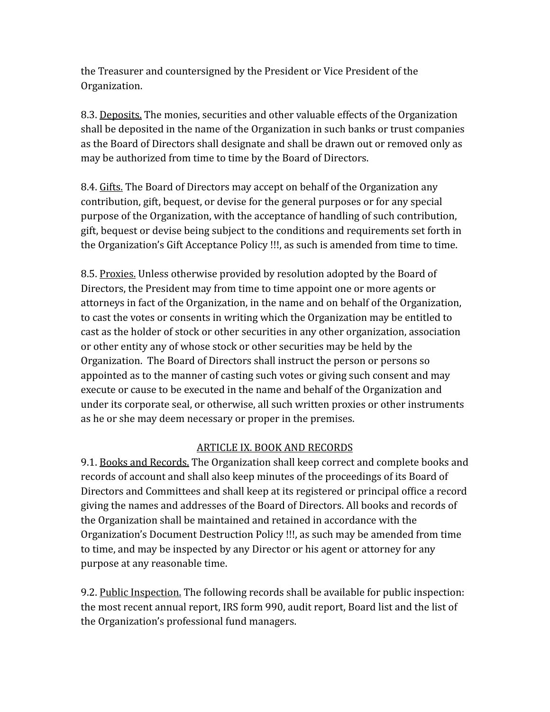the Treasurer and countersigned by the President or Vice President of the Organization.

8.3. Deposits. The monies, securities and other valuable effects of the Organization shall be deposited in the name of the Organization in such banks or trust companies as the Board of Directors shall designate and shall be drawn out or removed only as may be authorized from time to time by the Board of Directors.

8.4. Gifts. The Board of Directors may accept on behalf of the Organization any contribution, gift, bequest, or devise for the general purposes or for any special purpose of the Organization, with the acceptance of handling of such contribution, gift, bequest or devise being subject to the conditions and requirements set forth in the Organization's Gift Acceptance Policy !!!, as such is amended from time to time.

8.5. Proxies. Unless otherwise provided by resolution adopted by the Board of Directors, the President may from time to time appoint one or more agents or attorneys in fact of the Organization, in the name and on behalf of the Organization, to cast the votes or consents in writing which the Organization may be entitled to cast as the holder of stock or other securities in any other organization, association or other entity any of whose stock or other securities may be held by the Organization. The Board of Directors shall instruct the person or persons so appointed as to the manner of casting such votes or giving such consent and may execute or cause to be executed in the name and behalf of the Organization and under its corporate seal, or otherwise, all such written proxies or other instruments as he or she may deem necessary or proper in the premises.

## ARTICLE IX. BOOK AND RECORDS

9.1. Books and Records. The Organization shall keep correct and complete books and records of account and shall also keep minutes of the proceedings of its Board of Directors and Committees and shall keep at its registered or principal office a record giving the names and addresses of the Board of Directors. All books and records of the Organization shall be maintained and retained in accordance with the Organization's Document Destruction Policy !!!, as such may be amended from time to time, and may be inspected by any Director or his agent or attorney for any purpose at any reasonable time.

9.2. Public Inspection. The following records shall be available for public inspection: the most recent annual report, IRS form 990, audit report, Board list and the list of the Organization's professional fund managers.